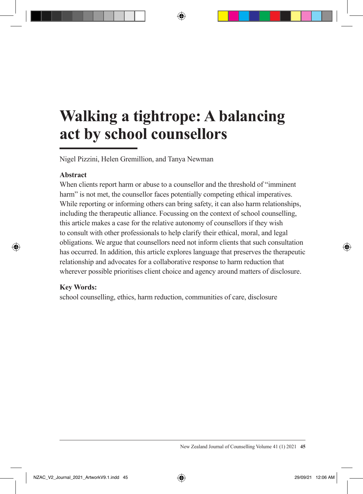# **Walking a tightrope: A balancing act by school counsellors**

Nigel Pizzini, Helen Gremillion, and Tanya Newman

#### **Abstract**

When clients report harm or abuse to a counsellor and the threshold of "imminent harm" is not met, the counsellor faces potentially competing ethical imperatives. While reporting or informing others can bring safety, it can also harm relationships, including the therapeutic alliance. Focussing on the context of school counselling, this article makes a case for the relative autonomy of counsellors if they wish to consult with other professionals to help clarify their ethical, moral, and legal obligations. We argue that counsellors need not inform clients that such consultation has occurred. In addition, this article explores language that preserves the therapeutic relationship and advocates for a collaborative response to harm reduction that wherever possible prioritises client choice and agency around matters of disclosure.

#### **Key Words:**

school counselling, ethics, harm reduction, communities of care, disclosure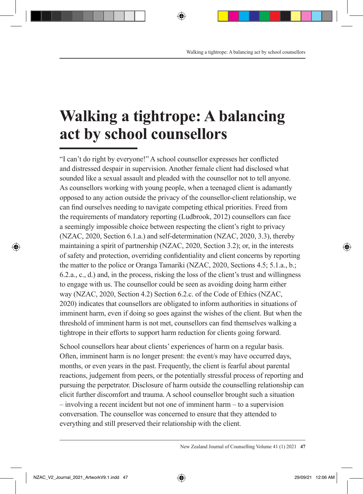# **Walking a tightrope: A balancing act by school counsellors**

"I can't do right by everyone!" A school counsellor expresses her conflicted and distressed despair in supervision. Another female client had disclosed what sounded like a sexual assault and pleaded with the counsellor not to tell anyone. As counsellors working with young people, when a teenaged client is adamantly opposed to any action outside the privacy of the counsellor-client relationship, we can find ourselves needing to navigate competing ethical priorities. Freed from the requirements of mandatory reporting (Ludbrook, 2012) counsellors can face a seemingly impossible choice between respecting the client's right to privacy (NZAC, 2020, Section 6.1.a.) and self-determination (NZAC, 2020, 3.3), thereby maintaining a spirit of partnership (NZAC, 2020, Section 3.2); or, in the interests of safety and protection, overriding confidentiality and client concerns by reporting the matter to the police or Oranga Tamariki (NZAC, 2020, Sections 4.5; 5.1.a., b.; 6.2.a., c., d.) and, in the process, risking the loss of the client's trust and willingness to engage with us. The counsellor could be seen as avoiding doing harm either way (NZAC, 2020, Section 4.2) Section 6.2.c. of the Code of Ethics (NZAC, 2020) indicates that counsellors are obligated to inform authorities in situations of imminent harm, even if doing so goes against the wishes of the client. But when the threshold of imminent harm is not met, counsellors can find themselves walking a tightrope in their efforts to support harm reduction for clients going forward.

School counsellors hear about clients' experiences of harm on a regular basis. Often, imminent harm is no longer present: the event/s may have occurred days, months, or even years in the past. Frequently, the client is fearful about parental reactions, judgement from peers, or the potentially stressful process of reporting and pursuing the perpetrator. Disclosure of harm outside the counselling relationship can elicit further discomfort and trauma. A school counsellor brought such a situation – involving a recent incident but not one of imminent harm – to a supervision conversation. The counsellor was concerned to ensure that they attended to everything and still preserved their relationship with the client.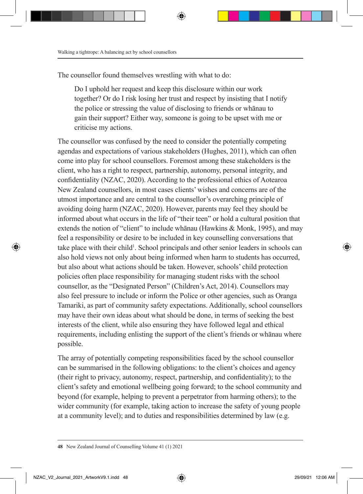The counsellor found themselves wrestling with what to do:

Do I uphold her request and keep this disclosure within our work together? Or do I risk losing her trust and respect by insisting that I notify the police or stressing the value of disclosing to friends or whānau to gain their support? Either way, someone is going to be upset with me or criticise my actions.

The counsellor was confused by the need to consider the potentially competing agendas and expectations of various stakeholders (Hughes, 2011), which can often come into play for school counsellors. Foremost among these stakeholders is the client, who has a right to respect, partnership, autonomy, personal integrity, and confidentiality (NZAC, 2020). According to the professional ethics of Aotearoa New Zealand counsellors, in most cases clients' wishes and concerns are of the utmost importance and are central to the counsellor's overarching principle of avoiding doing harm (NZAC, 2020). However, parents may feel they should be informed about what occurs in the life of "their teen" or hold a cultural position that extends the notion of "client" to include whānau (Hawkins & Monk, 1995), and may feel a responsibility or desire to be included in key counselling conversations that take place with their child<sup>1</sup>. School principals and other senior leaders in schools can also hold views not only about being informed when harm to students has occurred, but also about what actions should be taken. However, schools' child protection policies often place responsibility for managing student risks with the school counsellor, as the "Designated Person" (Children's Act, 2014). Counsellors may also feel pressure to include or inform the Police or other agencies, such as Oranga Tamariki, as part of community safety expectations. Additionally, school counsellors may have their own ideas about what should be done, in terms of seeking the best interests of the client, while also ensuring they have followed legal and ethical requirements, including enlisting the support of the client's friends or whānau where possible.

The array of potentially competing responsibilities faced by the school counsellor can be summarised in the following obligations: to the client's choices and agency (their right to privacy, autonomy, respect, partnership, and confidentiality); to the client's safety and emotional wellbeing going forward; to the school community and beyond (for example, helping to prevent a perpetrator from harming others); to the wider community (for example, taking action to increase the safety of young people at a community level); and to duties and responsibilities determined by law (e.g.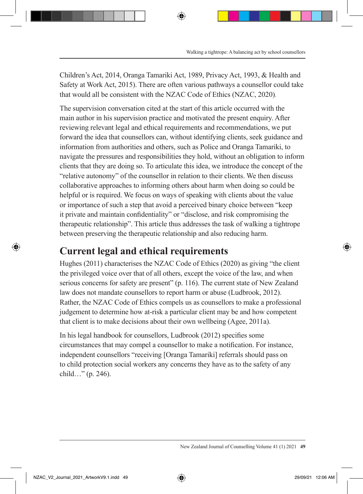Children's Act, 2014, Oranga Tamariki Act, 1989, Privacy Act, 1993, & Health and Safety at Work Act, 2015). There are often various pathways a counsellor could take that would all be consistent with the NZAC Code of Ethics (NZAC, 2020).

The supervision conversation cited at the start of this article occurred with the main author in his supervision practice and motivated the present enquiry. After reviewing relevant legal and ethical requirements and recommendations, we put forward the idea that counsellors can, without identifying clients, seek guidance and information from authorities and others, such as Police and Oranga Tamariki, to navigate the pressures and responsibilities they hold, without an obligation to inform clients that they are doing so. To articulate this idea, we introduce the concept of the "relative autonomy" of the counsellor in relation to their clients. We then discuss collaborative approaches to informing others about harm when doing so could be helpful or is required. We focus on ways of speaking with clients about the value or importance of such a step that avoid a perceived binary choice between "keep it private and maintain confidentiality" or "disclose, and risk compromising the therapeutic relationship". This article thus addresses the task of walking a tightrope between preserving the therapeutic relationship and also reducing harm.

### **Current legal and ethical requirements**

Hughes (2011) characterises the NZAC Code of Ethics (2020) as giving "the client the privileged voice over that of all others, except the voice of the law, and when serious concerns for safety are present" (p. 116). The current state of New Zealand law does not mandate counsellors to report harm or abuse (Ludbrook, 2012). Rather, the NZAC Code of Ethics compels us as counsellors to make a professional judgement to determine how at-risk a particular client may be and how competent that client is to make decisions about their own wellbeing (Agee, 2011a).

In his legal handbook for counsellors, Ludbrook (2012) specifies some circumstances that may compel a counsellor to make a notification. For instance, independent counsellors "receiving [Oranga Tamariki] referrals should pass on to child protection social workers any concerns they have as to the safety of any child…" (p. 246).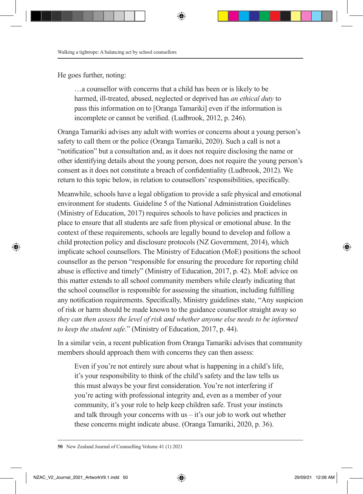He goes further, noting:

…a counsellor with concerns that a child has been or is likely to be harmed, ill-treated, abused, neglected or deprived has *an ethical duty* to pass this information on to [Oranga Tamariki] even if the information is incomplete or cannot be verified. (Ludbrook, 2012, p. 246).

Oranga Tamariki advises any adult with worries or concerns about a young person's safety to call them or the police (Oranga Tamariki, 2020). Such a call is not a "notification" but a consultation and, as it does not require disclosing the name or other identifying details about the young person, does not require the young person's consent as it does not constitute a breach of confidentiality (Ludbrook, 2012). We return to this topic below, in relation to counsellors' responsibilities, specifically.

Meanwhile, schools have a legal obligation to provide a safe physical and emotional environment for students. Guideline 5 of the National Administration Guidelines (Ministry of Education, 2017) requires schools to have policies and practices in place to ensure that all students are safe from physical or emotional abuse. In the context of these requirements, schools are legally bound to develop and follow a child protection policy and disclosure protocols (NZ Government, 2014), which implicate school counsellors. The Ministry of Education (MoE) positions the school counsellor as the person "responsible for ensuring the procedure for reporting child abuse is effective and timely" (Ministry of Education, 2017, p. 42). MoE advice on this matter extends to all school community members while clearly indicating that the school counsellor is responsible for assessing the situation, including fulfilling any notification requirements. Specifically, Ministry guidelines state, "Any suspicion of risk or harm should be made known to the guidance counsellor straight away so *they can then assess the level of risk and whether anyone else needs to be informed to keep the student safe.*" (Ministry of Education, 2017, p. 44).

In a similar vein, a recent publication from Oranga Tamariki advises that community members should approach them with concerns they can then assess:

Even if you're not entirely sure about what is happening in a child's life, it's your responsibility to think of the child's safety and the law tells us this must always be your first consideration. You're not interfering if you're acting with professional integrity and, even as a member of your community, it's your role to help keep children safe. Trust your instincts and talk through your concerns with us  $-$  it's our job to work out whether these concerns might indicate abuse. (Oranga Tamariki, 2020, p. 36).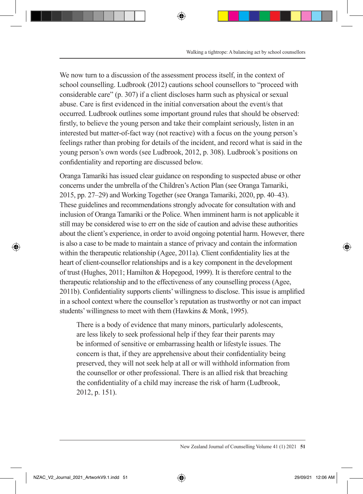We now turn to a discussion of the assessment process itself, in the context of school counselling. Ludbrook (2012) cautions school counsellors to "proceed with considerable care" (p. 307) if a client discloses harm such as physical or sexual abuse. Care is first evidenced in the initial conversation about the event/s that occurred. Ludbrook outlines some important ground rules that should be observed: firstly, to believe the young person and take their complaint seriously, listen in an interested but matter-of-fact way (not reactive) with a focus on the young person's feelings rather than probing for details of the incident, and record what is said in the young person's own words (see Ludbrook, 2012, p. 308). Ludbrook's positions on confidentiality and reporting are discussed below.

Oranga Tamariki has issued clear guidance on responding to suspected abuse or other concerns under the umbrella of the Children's Action Plan (see Oranga Tamariki, 2015, pp. 27–29) and Working Together (see Oranga Tamariki, 2020, pp. 40–43). These guidelines and recommendations strongly advocate for consultation with and inclusion of Oranga Tamariki or the Police. When imminent harm is not applicable it still may be considered wise to err on the side of caution and advise these authorities about the client's experience, in order to avoid ongoing potential harm. However, there is also a case to be made to maintain a stance of privacy and contain the information within the therapeutic relationship (Agee, 2011a). Client confidentiality lies at the heart of client-counsellor relationships and is a key component in the development of trust (Hughes, 2011; Hamilton & Hopegood, 1999). It is therefore central to the therapeutic relationship and to the effectiveness of any counselling process (Agee, 2011b). Confidentiality supports clients' willingness to disclose. This issue is amplified in a school context where the counsellor's reputation as trustworthy or not can impact students' willingness to meet with them (Hawkins & Monk, 1995).

There is a body of evidence that many minors, particularly adolescents, are less likely to seek professional help if they fear their parents may be informed of sensitive or embarrassing health or lifestyle issues. The concern is that, if they are apprehensive about their confidentiality being preserved, they will not seek help at all or will withhold information from the counsellor or other professional. There is an allied risk that breaching the confidentiality of a child may increase the risk of harm (Ludbrook, 2012, p. 151).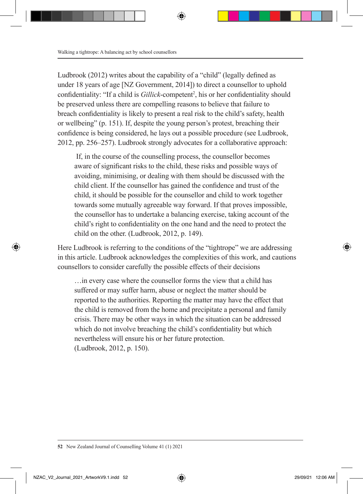Ludbrook (2012) writes about the capability of a "child" (legally defined as under 18 years of age [NZ Government, 2014]) to direct a counsellor to uphold confidentiality: "If a child is *Gillick*-competent<sup>2</sup>, his or her confidentiality should be preserved unless there are compelling reasons to believe that failure to breach confidentiality is likely to present a real risk to the child's safety, health or wellbeing" (p. 151). If, despite the young person's protest, breaching their confidence is being considered, he lays out a possible procedure (see Ludbrook, 2012, pp. 256–257). Ludbrook strongly advocates for a collaborative approach:

 If, in the course of the counselling process, the counsellor becomes aware of significant risks to the child, these risks and possible ways of avoiding, minimising, or dealing with them should be discussed with the child client. If the counsellor has gained the confidence and trust of the child, it should be possible for the counsellor and child to work together towards some mutually agreeable way forward. If that proves impossible, the counsellor has to undertake a balancing exercise, taking account of the child's right to confidentiality on the one hand and the need to protect the child on the other. (Ludbrook, 2012, p. 149).

Here Ludbrook is referring to the conditions of the "tightrope" we are addressing in this article. Ludbrook acknowledges the complexities of this work, and cautions counsellors to consider carefully the possible effects of their decisions

…in every case where the counsellor forms the view that a child has suffered or may suffer harm, abuse or neglect the matter should be reported to the authorities. Reporting the matter may have the effect that the child is removed from the home and precipitate a personal and family crisis. There may be other ways in which the situation can be addressed which do not involve breaching the child's confidentiality but which nevertheless will ensure his or her future protection. (Ludbrook, 2012, p. 150).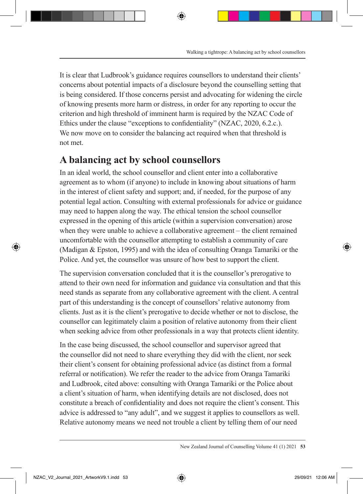It is clear that Ludbrook's guidance requires counsellors to understand their clients' concerns about potential impacts of a disclosure beyond the counselling setting that is being considered. If those concerns persist and advocating for widening the circle of knowing presents more harm or distress, in order for any reporting to occur the criterion and high threshold of imminent harm is required by the NZAC Code of Ethics under the clause "exceptions to confidentiality" (NZAC, 2020, 6.2.c.). We now move on to consider the balancing act required when that threshold is not met.

### **A balancing act by school counsellors**

In an ideal world, the school counsellor and client enter into a collaborative agreement as to whom (if anyone) to include in knowing about situations of harm in the interest of client safety and support; and, if needed, for the purpose of any potential legal action. Consulting with external professionals for advice or guidance may need to happen along the way. The ethical tension the school counsellor expressed in the opening of this article (within a supervision conversation) arose when they were unable to achieve a collaborative agreement – the client remained uncomfortable with the counsellor attempting to establish a community of care (Madigan & Epston, 1995) and with the idea of consulting Oranga Tamariki or the Police. And yet, the counsellor was unsure of how best to support the client.

The supervision conversation concluded that it is the counsellor's prerogative to attend to their own need for information and guidance via consultation and that this need stands as separate from any collaborative agreement with the client. A central part of this understanding is the concept of counsellors' relative autonomy from clients. Just as it is the client's prerogative to decide whether or not to disclose, the counsellor can legitimately claim a position of relative autonomy from their client when seeking advice from other professionals in a way that protects client identity.

In the case being discussed, the school counsellor and supervisor agreed that the counsellor did not need to share everything they did with the client, nor seek their client's consent for obtaining professional advice (as distinct from a formal referral or notification). We refer the reader to the advice from Oranga Tamariki and Ludbrook, cited above: consulting with Oranga Tamariki or the Police about a client's situation of harm, when identifying details are not disclosed, does not constitute a breach of confidentiality and does not require the client's consent. This advice is addressed to "any adult", and we suggest it applies to counsellors as well. Relative autonomy means we need not trouble a client by telling them of our need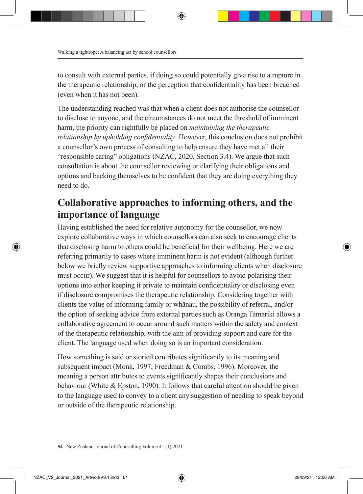to consult with external parties, if doing so could potentially give rise to a rupture in the therapeutic relationship, or the perception that confidentiality has been breached (even when it has not been).

The understanding reached was that when a client does not authorise the counsellor to disclose to anyone, and the circumstances do not meet the threshold of imminent harm, the priority can rightfully be placed on *maintaining the therapeutic relationship by upholding confidentiality*. However, this conclusion does not prohibit a counsellor's own process of consulting to help ensure they have met all their "responsible caring" obligations (NZAC, 2020, Section 3.4). We argue that such consultation is about the counsellor reviewing or clarifying their obligations and options and backing themselves to be confident that they are doing everything they need to do.

### **Collaborative approaches to informing others, and the importance of language**

Having established the need for relative autonomy for the counsellor, we now explore collaborative ways in which counsellors can also seek to encourage clients that disclosing harm to others could be beneficial for their wellbeing. Here we are referring primarily to cases where imminent harm is not evident (although further below we briefly review supportive approaches to informing clients when disclosure must occur). We suggest that it is helpful for counsellors to avoid polarising their options into either keeping it private to maintain confidentiality or disclosing even if disclosure compromises the therapeutic relationship. Considering together with clients the value of informing family or whānau, the possibility of referral, and/or the option of seeking advice from external parties such as Oranga Tamariki allows a collaborative agreement to occur around such matters within the safety and context of the therapeutic relationship, with the aim of providing support and care for the client. The language used when doing so is an important consideration.

How something is said or storied contributes significantly to its meaning and subsequent impact (Monk, 1997; Freedman & Combs, 1996). Moreover, the meaning a person attributes to events significantly shapes their conclusions and behaviour (White & Epston, 1990). It follows that careful attention should be given to the language used to convey to a client any suggestion of needing to speak beyond or outside of the therapeutic relationship.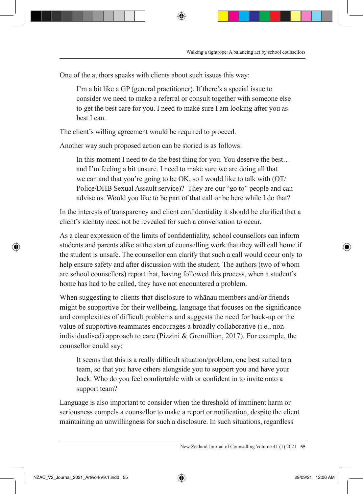One of the authors speaks with clients about such issues this way:

I'm a bit like a GP (general practitioner). If there's a special issue to consider we need to make a referral or consult together with someone else to get the best care for you. I need to make sure I am looking after you as best I can.

The client's willing agreement would be required to proceed.

Another way such proposed action can be storied is as follows:

In this moment I need to do the best thing for you. You deserve the best… and I'm feeling a bit unsure. I need to make sure we are doing all that we can and that you're going to be OK, so I would like to talk with (OT/ Police/DHB Sexual Assault service)? They are our "go to" people and can advise us. Would you like to be part of that call or be here while I do that?

In the interests of transparency and client confidentiality it should be clarified that a client's identity need not be revealed for such a conversation to occur.

As a clear expression of the limits of confidentiality, school counsellors can inform students and parents alike at the start of counselling work that they will call home if the student is unsafe. The counsellor can clarify that such a call would occur only to help ensure safety and after discussion with the student. The authors (two of whom are school counsellors) report that, having followed this process, when a student's home has had to be called, they have not encountered a problem.

When suggesting to clients that disclosure to whanau members and/or friends might be supportive for their wellbeing, language that focuses on the significance and complexities of difficult problems and suggests the need for back-up or the value of supportive teammates encourages a broadly collaborative (i.e., nonindividualised) approach to care (Pizzini & Gremillion, 2017). For example, the counsellor could say:

It seems that this is a really difficult situation/problem, one best suited to a team, so that you have others alongside you to support you and have your back. Who do you feel comfortable with or confident in to invite onto a support team?

Language is also important to consider when the threshold of imminent harm or seriousness compels a counsellor to make a report or notification, despite the client maintaining an unwillingness for such a disclosure. In such situations, regardless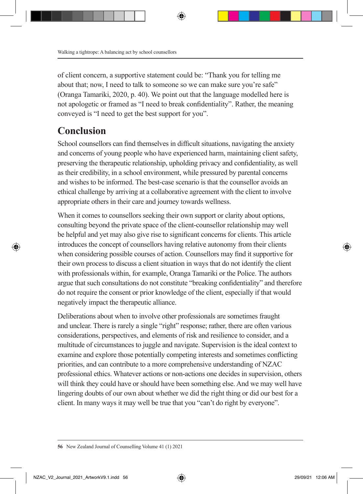of client concern, a supportive statement could be: "Thank you for telling me about that; now, I need to talk to someone so we can make sure you're safe" (Oranga Tamariki, 2020, p. 40). We point out that the language modelled here is not apologetic or framed as "I need to break confidentiality". Rather, the meaning conveyed is "I need to get the best support for you".

### **Conclusion**

School counsellors can find themselves in difficult situations, navigating the anxiety and concerns of young people who have experienced harm, maintaining client safety, preserving the therapeutic relationship, upholding privacy and confidentiality, as well as their credibility, in a school environment, while pressured by parental concerns and wishes to be informed. The best-case scenario is that the counsellor avoids an ethical challenge by arriving at a collaborative agreement with the client to involve appropriate others in their care and journey towards wellness.

When it comes to counsellors seeking their own support or clarity about options, consulting beyond the private space of the client-counsellor relationship may well be helpful and yet may also give rise to significant concerns for clients. This article introduces the concept of counsellors having relative autonomy from their clients when considering possible courses of action. Counsellors may find it supportive for their own process to discuss a client situation in ways that do not identify the client with professionals within, for example, Oranga Tamariki or the Police. The authors argue that such consultations do not constitute "breaking confidentiality" and therefore do not require the consent or prior knowledge of the client, especially if that would negatively impact the therapeutic alliance.

Deliberations about when to involve other professionals are sometimes fraught and unclear. There is rarely a single "right" response; rather, there are often various considerations, perspectives, and elements of risk and resilience to consider, and a multitude of circumstances to juggle and navigate. Supervision is the ideal context to examine and explore those potentially competing interests and sometimes conflicting priorities, and can contribute to a more comprehensive understanding of NZAC professional ethics. Whatever actions or non-actions one decides in supervision, others will think they could have or should have been something else. And we may well have lingering doubts of our own about whether we did the right thing or did our best for a client. In many ways it may well be true that you "can't do right by everyone".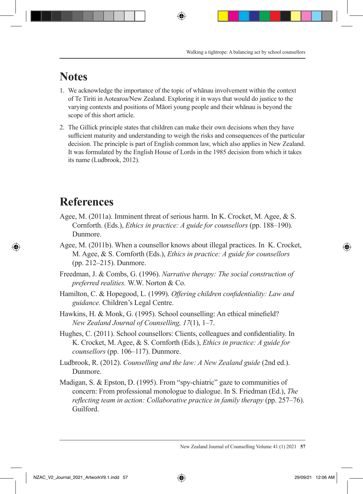## **Notes**

- 1. We acknowledge the importance of the topic of whānau involvement within the context of Te Tiriti in Aotearoa/New Zealand. Exploring it in ways that would do justice to the varying contexts and positions of Māori young people and their whānau is beyond the scope of this short article.
- 2. The Gillick principle states that children can make their own decisions when they have sufficient maturity and understanding to weigh the risks and consequences of the particular decision. The principle is part of English common law, which also applies in New Zealand. It was formulated by the English House of Lords in the 1985 decision from which it takes its name (Ludbrook, 2012).

## **References**

- Agee, M. (2011a). Imminent threat of serious harm. In K. Crocket, M. Agee, & S. Cornforth. (Eds.), *Ethics in practice: A guide for counsellors* (pp. 188–190). Dunmore.
- Agee, M. (2011b). When a counsellor knows about illegal practices. In K. Crocket, M. Agee, & S. Cornforth (Eds.), *Ethics in practice: A guide for counsellors* (pp. 212–215). Dunmore.
- Freedman, J. & Combs, G. (1996). *Narrative therapy: The social construction of preferred realities.* W.W. Norton & Co.
- Hamilton, C. & Hopegood, L. (1999). *Offering children confidentiality: Law and guidance.* Children's Legal Centre.
- Hawkins, H. & Monk, G. (1995). School counselling: An ethical minefield? *New Zealand Journal of Counselling, 17*(1), 1–7.
- Hughes, C. (2011). School counsellors: Clients, colleagues and confidentiality. In K. Crocket, M. Agee, & S. Cornforth (Eds.), *Ethics in practice: A guide for counsellors* (pp. 106–117). Dunmore.
- Ludbrook, R. (2012). *Counselling and the law: A New Zealand guide* (2nd ed.). Dunmore.
- Madigan, S. & Epston, D. (1995). From "spy-chiatric" gaze to communities of concern: From professional monologue to dialogue. In S. Friedman (Ed.), *The reflecting team in action: Collaborative practice in family therapy (pp. 257–76).* Guilford.